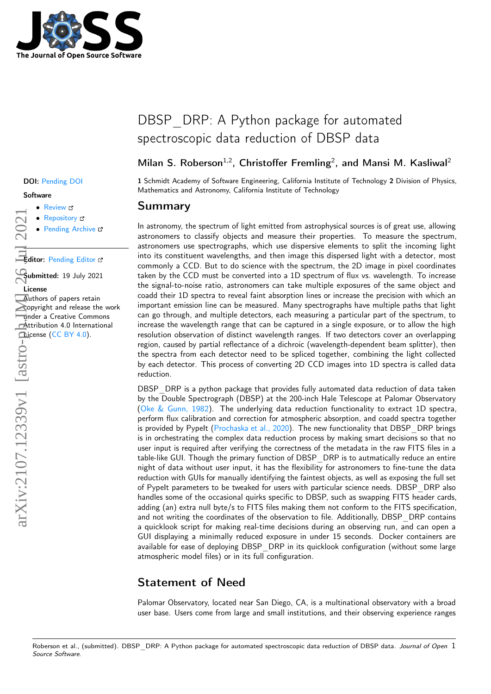

#### DOI: Pending DOI

#### **Software**

- [Review](https://github.com/openjournals/joss-reviews/issues/3511) C
- [Repository](https://github.com/finagle29/DBSP_DRP/)
- Pending Archive

Editor: [Pending Editor](http://example.com)

Submitted: 19 July 2021 License

Authors of papers retain copyright and release the work under a Creative Commons Attribution 4.0 International License [\(CC BY 4.0\)](http://creativecommons.org/licenses/by/4.0/).

# DBSP DRP: A Python package for automated spectroscopic data reduction of DBSP data

## Milan S. Roberson<sup>1,2</sup>, Christoffer Fremling<sup>2</sup>, and Mansi M. Kasliwal<sup>2</sup>

1 Schmidt Academy of Software Engineering, California Institute of Technology 2 Division of Physics, Mathematics and Astronomy, California Institute of Technology

### Summary

In astronomy, the spectrum of light emitted from astrophysical sources is of great use, allowing astronomers to classify objects and measure their properties. To measure the spectrum, astronomers use spectrographs, which use dispersive elements to split the incoming light into its constituent wavelengths, and then image this dispersed light with a detector, most commonly a CCD. But to do science with the spectrum, the 2D image in pixel coordinates taken by the CCD must be converted into a 1D spectrum of flux vs. wavelength. To increase the signal-to-noise ratio, astronomers can take multiple exposures of the same object and coadd their 1D spectra to reveal faint absorption lines or increase the precision with which an important emission line can be measured. Many spectrographs have multiple paths that light can go through, and multiple detectors, each measuring a particular part of the spectrum, to increase the wavelength range that can be captured in a single exposure, or to allow the high resolution observation of distinct wavelength ranges. If two detectors cover an overlapping region, caused by partial reflectance of a dichroic (wavelength-dependent beam splitter), then the spectra from each detector need to be spliced together, combining the light collected by each detector. This process of converting 2D CCD images into 1D spectra is called data reduction.

DBSP DRP is a python package that provides fully automated data reduction of data taken by the Double Spectrograph (DBSP) at the 200-inch Hale Telescope at Palomar Observatory [\(Oke & Gunn, 1982\)](#page-2-0). The underlying data reduction functionality to extract 1D spectra, perform flux calibration and correction for atmospheric absorption, and coadd spectra together is provided by Pypelt [\(Prochaska et al., 2020\)](#page-2-1). The new functionality that DBSP\_DRP brings is in orchestrating the complex data reduction process by making smart decisions so that no user input is required after verifying the correctness of the metadata in the raw FITS files in a table-like GUI. Though the primary function of DBSP\_DRP is to autmatically reduce an entire night of data without user input, it has the flexibility for astronomers to fine-tune the data reduction with GUIs for manually identifying the faintest objects, as well as exposing the full set of PypeIt parameters to be tweaked for users with particular science needs. DBSP DRP also handles some of the occasional quirks specific to DBSP, such as swapping FITS header cards, adding (an) extra null byte/s to FITS files making them not conform to the FITS specification, and not writing the coordinates of the observation to file. Additionally, DBSP\_DRP contains a quicklook script for making real-time decisions during an observing run, and can open a GUI displaying a minimally reduced exposure in under 15 seconds. Docker containers are available for ease of deploying DBSP\_DRP in its quicklook configuration (without some large atmospheric model files) or in its full configuration.

# Statement of Need

Palomar Observatory, located near San Diego, CA, is a multinational observatory with a broad user base. Users come from large and small institutions, and their observing experience ranges

Roberson et al., (submitted). DBSP DRP: A Python package for automated spectroscopic data reduction of DBSP data. Journal of Open 1 Source Software.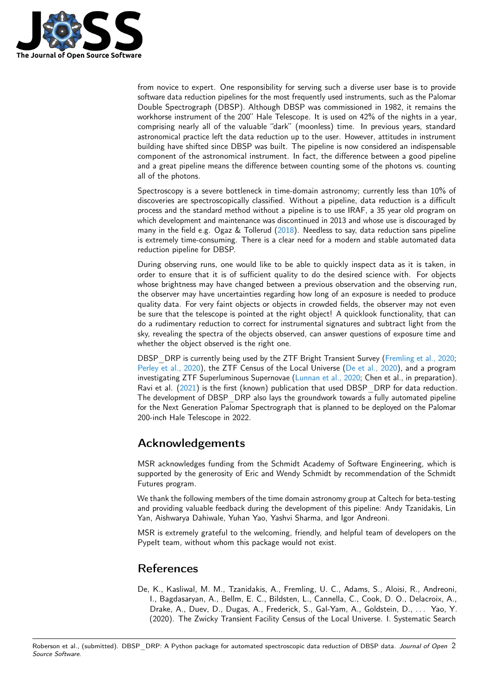

from novice to expert. One responsibility for serving such a diverse user base is to provide software data reduction pipelines for the most frequently used instruments, such as the Palomar Double Spectrograph (DBSP). Although DBSP was commissioned in 1982, it remains the workhorse instrument of the 200" Hale Telescope. It is used on 42% of the nights in a year, comprising nearly all of the valuable "dark" (moonless) time. In previous years, standard astronomical practice left the data reduction up to the user. However, attitudes in instrument building have shifted since DBSP was built. The pipeline is now considered an indispensable component of the astronomical instrument. In fact, the difference between a good pipeline and a great pipeline means the difference between counting some of the photons vs. counting all of the photons.

Spectroscopy is a severe bottleneck in time-domain astronomy; currently less than 10% of discoveries are spectroscopically classified. Without a pipeline, data reduction is a difficult process and the standard method without a pipeline is to use IRAF, a 35 year old program on which development and maintenance was discontinued in 2013 and whose use is discouraged by many in the field e.g. Ogaz  $&$  Tollerud [\(2018\)](#page-2-2). Needless to say, data reduction sans pipeline is extremely time-consuming. There is a clear need for a modern and stable automated data reduction pipeline for DBSP.

During observing runs, one would like to be able to quickly inspect data as it is taken, in order to ensure that it is of sufficient quality to do the desired science with. For objects whose brightness may have changed between a previous observation and the observing run, the observer may have uncertainties regarding how long of an exposure is needed to produce quality data. For very faint objects or objects in crowded fields, the observer may not even be sure that the telescope is pointed at the right object! A quicklook functionality, that can do a rudimentary reduction to correct for instrumental signatures and subtract light from the sky, revealing the spectra of the objects observed, can answer questions of exposure time and whether the object observed is the right one.

DBSP DRP is currently being used by the ZTF Bright Transient Survey [\(Fremling et al., 2020;](#page-2-3) [Perley et al., 2020\)](#page-2-4), the ZTF Census of the Local Universe [\(De et al., 2020\)](#page-1-0), and a program investigating ZTF Superluminous Supernovae [\(Lunnan et al., 2020;](#page-2-5) Chen et al., in preparation). Ravi et al. [\(2021\)](#page-2-6) is the first (known) publication that used DBSP\_DRP for data reduction. The development of DBSP DRP also lays the groundwork towards a fully automated pipeline for the Next Generation Palomar Spectrograph that is planned to be deployed on the Palomar 200-inch Hale Telescope in 2022.

## Acknowledgements

MSR acknowledges funding from the Schmidt Academy of Software Engineering, which is supported by the generosity of Eric and Wendy Schmidt by recommendation of the Schmidt Futures program.

We thank the following members of the time domain astronomy group at Caltech for beta-testing and providing valuable feedback during the development of this pipeline: Andy Tzanidakis, Lin Yan, Aishwarya Dahiwale, Yuhan Yao, Yashvi Sharma, and Igor Andreoni.

MSR is extremely grateful to the welcoming, friendly, and helpful team of developers on the PypeIt team, without whom this package would not exist.

## References

<span id="page-1-0"></span>De, K., Kasliwal, M. M., Tzanidakis, A., Fremling, U. C., Adams, S., Aloisi, R., Andreoni, I., Bagdasaryan, A., Bellm, E. C., Bildsten, L., Cannella, C., Cook, D. O., Delacroix, A., Drake, A., Duev, D., Dugas, A., Frederick, S., Gal-Yam, A., Goldstein, D., ... Yao, Y. (2020). The Zwicky Transient Facility Census of the Local Universe. I. Systematic Search